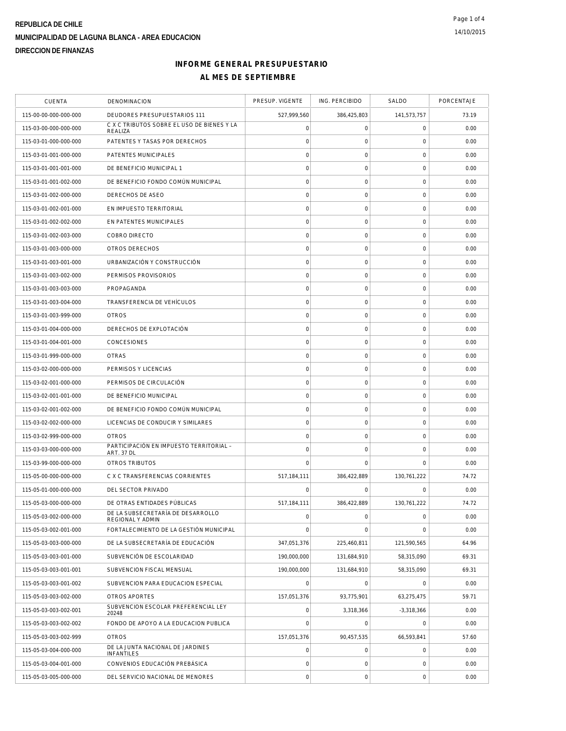# **INFORME GENERAL PRESUPUESTARIO AL MES DE SEPTIEMBRE**

| <b>CUENTA</b>         | DENOMINACION                                                 | PRESUP. VIGENTE     | ING. PERCIBIDO      | SALDO               | PORCENTAJE |
|-----------------------|--------------------------------------------------------------|---------------------|---------------------|---------------------|------------|
| 115-00-00-000-000-000 | DEUDORES PRESUPUESTARIOS 111                                 | 527,999,560         | 386,425,803         | 141,573,757         | 73.19      |
| 115-03-00-000-000-000 | C X C TRIBUTOS SOBRE EL USO DE BIENES Y LA<br>REALIZA        | $\mathsf{O}\xspace$ | 0                   | 0                   | 0.00       |
| 115-03-01-000-000-000 | PATENTES Y TASAS POR DERECHOS                                | $\mathbf 0$         | $\mathsf O$         | $\mathbf 0$         | 0.00       |
| 115-03-01-001-000-000 | PATENTES MUNICIPALES                                         | $\mathbf 0$         | $\mathbf 0$         | $\mathbf 0$         | 0.00       |
| 115-03-01-001-001-000 | DE BENEFICIO MUNICIPAL 1                                     | $\mathbf 0$         | $\mathsf O$         | $\mathbf 0$         | 0.00       |
| 115-03-01-001-002-000 | DE BENEFICIO FONDO COMÚN MUNICIPAL                           | $\mathbf 0$         | $\mathsf O$         | $\mathbf 0$         | 0.00       |
| 115-03-01-002-000-000 | DERECHOS DE ASEO                                             | $\circ$             | $\mathsf O$         | $\mathbf 0$         | 0.00       |
| 115-03-01-002-001-000 | EN IMPUESTO TERRITORIAL                                      | $\mathbf 0$         | $\mathsf O$         | 0                   | 0.00       |
| 115-03-01-002-002-000 | EN PATENTES MUNICIPALES                                      | $\mathbf 0$         | $\mathsf{O}\xspace$ | $\mathbf 0$         | 0.00       |
| 115-03-01-002-003-000 | COBRO DIRECTO                                                | $\mathbf 0$         | $\mathsf O$         | $\mathbf 0$         | 0.00       |
| 115-03-01-003-000-000 | OTROS DERECHOS                                               | $\mathbf 0$         | $\mathbf 0$         | $\mathbf 0$         | 0.00       |
| 115-03-01-003-001-000 | URBANIZACIÓN Y CONSTRUCCIÓN                                  | $\circ$             | $\mathsf O$         | $\mathbf 0$         | 0.00       |
| 115-03-01-003-002-000 | PERMISOS PROVISORIOS                                         | $\mathbf 0$         | $\mathsf{O}\xspace$ | $\mathbf 0$         | 0.00       |
| 115-03-01-003-003-000 | PROPAGANDA                                                   | $\circ$             | $\mathsf{O}\xspace$ | $\mathbf 0$         | 0.00       |
| 115-03-01-003-004-000 | TRANSFERENCIA DE VEHÍCULOS                                   | $\mathbf 0$         | $\mathsf O$         | $\mathbf 0$         | 0.00       |
| 115-03-01-003-999-000 | <b>OTROS</b>                                                 | $\mathbf 0$         | $\mathsf{O}\xspace$ | $\mathbf 0$         | 0.00       |
| 115-03-01-004-000-000 | DERECHOS DE EXPLOTACIÓN                                      | $\mathsf{O}\xspace$ | $\mathsf O$         | $\mathsf{O}\xspace$ | 0.00       |
| 115-03-01-004-001-000 | <b>CONCESIONES</b>                                           | $\mathbf 0$         | $\mathsf O$         | $\mathbf 0$         | 0.00       |
| 115-03-01-999-000-000 | <b>OTRAS</b>                                                 | $\circ$             | $\mathsf O$         | $\mathbf 0$         | 0.00       |
| 115-03-02-000-000-000 | PERMISOS Y LICENCIAS                                         | $\mathbf 0$         | $\mathsf O$         | 0                   | 0.00       |
| 115-03-02-001-000-000 | PERMISOS DE CIRCULACIÓN                                      | $\mathbf 0$         | $\mathsf{O}\xspace$ | $\mathbf 0$         | 0.00       |
| 115-03-02-001-001-000 | DE BENEFICIO MUNICIPAL                                       | $\circ$             | $\mathsf O$         | $\mathbf 0$         | 0.00       |
| 115-03-02-001-002-000 | DE BENEFICIO FONDO COMÚN MUNICIPAL                           | $\mathbf 0$         | $\mathbf 0$         | $\mathbf 0$         | 0.00       |
| 115-03-02-002-000-000 | LICENCIAS DE CONDUCIR Y SIMILARES                            | $\mathbf 0$         | $\mathsf{O}\xspace$ | $\mathbf 0$         | 0.00       |
| 115-03-02-999-000-000 | <b>OTROS</b>                                                 | $\mathbf 0$         | $\mathsf{O}\xspace$ | $\mathbf 0$         | 0.00       |
| 115-03-03-000-000-000 | PARTICIPACIÓN EN IMPUESTO TERRITORIAL -<br><b>ART. 37 DL</b> | $\mathbf 0$         | $\mathsf O$         | $\mathsf{O}\xspace$ | 0.00       |
| 115-03-99-000-000-000 | <b>OTROS TRIBUTOS</b>                                        | $\mathbf 0$         | $\mathbf 0$         | $\mathbf 0$         | 0.00       |
| 115-05-00-000-000-000 | C X C TRANSFERENCIAS CORRIENTES                              | 517,184,111         | 386,422,889         | 130,761,222         | 74.72      |
| 115-05-01-000-000-000 | DEL SECTOR PRIVADO                                           | $\Omega$            | $\Omega$            | $\Omega$            | 0.00       |
| 115-05-03-000-000-000 | DE OTRAS ENTIDADES PÚBLICAS                                  | 517,184,111         | 386,422,889         | 130,761,222         | 74.72      |
| 115-05-03-002-000-000 | DE LA SUBSECRETARÍA DE DESARROLLO<br>REGIONAL Y ADMIN        | $\mathbf 0$         | $\mathsf{O}\xspace$ | $\mathsf{O}\xspace$ | 0.00       |
| 115-05-03-002-001-000 | FORTALECIMIENTO DE LA GESTIÓN MUNICIPAL                      | $\circ$             | $\mathbf 0$         | 0                   | 0.00       |
| 115-05-03-003-000-000 | DE LA SUBSECRETARÍA DE EDUCACIÓN                             | 347,051,376         | 225,460,811         | 121,590,565         | 64.96      |
| 115-05-03-003-001-000 | SUBVENCIÓN DE ESCOLARIDAD                                    | 190,000,000         | 131,684,910         | 58,315,090          | 69.31      |
| 115-05-03-003-001-001 | SUBVENCION FISCAL MENSUAL                                    | 190,000,000         | 131,684,910         | 58,315,090          | 69.31      |
| 115-05-03-003-001-002 | SUBVENCION PARA EDUCACION ESPECIAL                           | $\mathbf 0$         | $\Omega$            | $\Omega$            | 0.00       |
| 115-05-03-003-002-000 | OTROS APORTES                                                | 157,051,376         | 93,775,901          | 63,275,475          | 59.71      |
| 115-05-03-003-002-001 | SUBVENCION ESCOLAR PREFERENCIAL LEY<br>20248                 | $\mathsf{O}\xspace$ | 3,318,366           | $-3,318,366$        | 0.00       |
| 115-05-03-003-002-002 | FONDO DE APOYO A LA EDUCACION PUBLICA                        | $\circ$             | $\mathsf O$         | $\mathbf 0$         | 0.00       |
| 115-05-03-003-002-999 | <b>OTROS</b>                                                 | 157,051,376         | 90,457,535          | 66,593,841          | 57.60      |
| 115-05-03-004-000-000 | DE LA JUNTA NACIONAL DE JARDINES<br><b>INFANTILES</b>        | $\mathbf 0$         | $\mathbf 0$         | 0                   | 0.00       |
| 115-05-03-004-001-000 | CONVENIOS EDUCACIÓN PREBÁSICA                                | $\mathsf{O}\xspace$ | $\mathsf{O}\xspace$ | $\mathbf 0$         | 0.00       |
| 115-05-03-005-000-000 | DEL SERVICIO NACIONAL DE MENORES                             | $\mathbf 0$         | $\mathsf{O}\xspace$ | $\mathbf 0$         | 0.00       |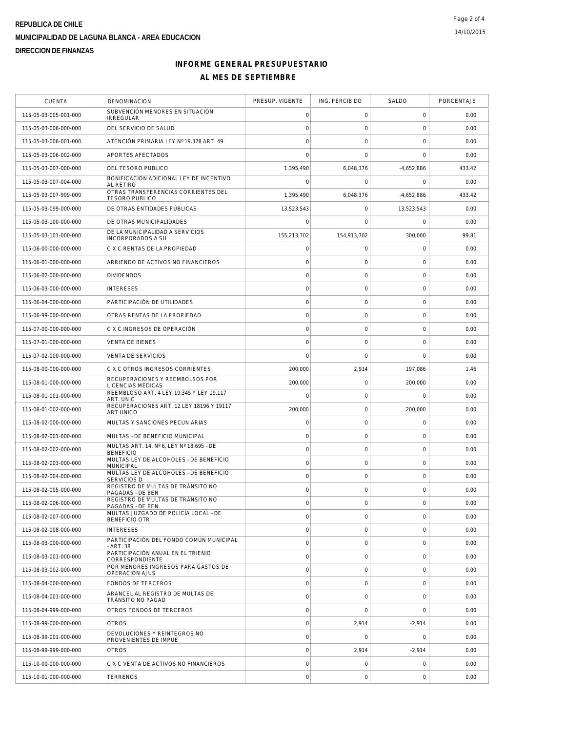# **INFORME GENERAL PRESUPUESTARIO AL MES DE SEPTIEMBRE**

| <b>CUENTA</b>         | DENOMINACION                                                 | PRESUP. VIGENTE     | ING. PERCIBIDO      | SALDO               | PORCENTAJE |
|-----------------------|--------------------------------------------------------------|---------------------|---------------------|---------------------|------------|
| 115-05-03-005-001-000 | SUBVENCIÓN MENORES EN SITUACIÓN<br><b>IRREGULAR</b>          | 0                   | 0                   | 0                   | 0.00       |
| 115-05-03-006-000-000 | DEL SERVICIO DE SALUD                                        | $\mathbf 0$         | $\mathbf 0$         | $\mathbf 0$         | 0.00       |
| 115-05-03-006-001-000 | ATENCIÓN PRIMARIA LEY Nº 19.378 ART. 49                      | $\mathbf 0$         | $\mathbf 0$         | $\mathbf 0$         | 0.00       |
| 115-05-03-006-002-000 | APORTES AFECTADOS                                            | $\mathbf 0$         | $\mathbf 0$         | $\mathbf 0$         | 0.00       |
| 115-05-03-007-000-000 | DEL TESORO PUBLICO                                           | 1,395,490           | 6,048,376           | $-4,652,886$        | 433.42     |
| 115-05-03-007-004-000 | BONIFICACION ADICIONAL LEY DE INCENTIVO<br>AL RETIRO         | $\Omega$            | 0                   | 0                   | 0.00       |
| 115-05-03-007-999-000 | OTRAS TRANSFERENCIAS CORRIENTES DEL<br><b>TESORO PUBLICO</b> | 1.395.490           | 6,048,376           | $-4,652,886$        | 433.42     |
| 115-05-03-099-000-000 | DE OTRAS ENTIDADES PÚBLICAS                                  | 13,523,543          | 0                   | 13,523,543          | 0.00       |
| 115-05-03-100-000-000 | DE OTRAS MUNICIPALIDADES                                     | $\Omega$            | $\mathbf 0$         | 0                   | 0.00       |
| 115-05-03-101-000-000 | DE LA MUNICIPALIDAD A SERVICIOS<br>INCORPORADOS A SU         | 155,213,702         | 154,913,702         | 300,000             | 99.81      |
| 115-06-00-000-000-000 | C X C RENTAS DE LA PROPIEDAD                                 | $\mathbf 0$         | 0                   | $\mathbf 0$         | 0.00       |
| 115-06-01-000-000-000 | ARRIENDO DE ACTIVOS NO FINANCIEROS                           | $\circ$             | $\mathsf{O}\xspace$ | $\mathsf{O}\xspace$ | 0.00       |
| 115-06-02-000-000-000 | <b>DIVIDENDOS</b>                                            | $\mathbf 0$         | 0                   | $\mathbf 0$         | 0.00       |
| 115-06-03-000-000-000 | <b>INTERESES</b>                                             | $\mathbf 0$         | $\mathbf 0$         | $\mathbf 0$         | 0.00       |
| 115-06-04-000-000-000 | PARTICIPACIÓN DE UTILIDADES                                  | $\mathbf 0$         | $\mathsf{O}\xspace$ | $\mathbf 0$         | 0.00       |
| 115-06-99-000-000-000 | OTRAS RENTAS DE LA PROPIEDAD                                 | $\mathsf{O}\xspace$ | $\mathsf{O}\xspace$ | $\mathbf 0$         | 0.00       |
| 115-07-00-000-000-000 | C X C INGRESOS DE OPERACIÓN                                  | $\mathbf 0$         | $\mathsf{O}\xspace$ | $\mathbf 0$         | 0.00       |
| 115-07-01-000-000-000 | <b>VENTA DE BIENES</b>                                       | $\mathbf 0$         | 0                   | 0                   | 0.00       |
| 115-07-02-000-000-000 | <b>VENTA DE SERVICIOS</b>                                    | $\mathbf 0$         | $\mathbf 0$         | $\mathbf 0$         | 0.00       |
| 115-08-00-000-000-000 | C X C OTROS INGRESOS CORRIENTES                              | 200,000             | 2,914               | 197,086             | 1.46       |
| 115-08-01-000-000-000 | RECUPERACIONES Y REEMBOLSOS POR<br>LICENCIAS MÉDICAS         | 200,000             | $\mathsf{O}\xspace$ | 200,000             | 0.00       |
| 115-08-01-001-000-000 | REEMBLOSO ART. 4 LEY 19.345 Y LEY 19.117<br>ART. UNIC        | $\mathbf 0$         | $\mathsf{O}\xspace$ | $\Omega$            | 0.00       |
| 115-08-01-002-000-000 | RECUPERACIONES ART. 12 LEY 18196 Y 19117<br><b>ART UNICO</b> | 200,000             | $\mathsf{O}\xspace$ | 200,000             | 0.00       |
| 115-08-02-000-000-000 | MULTAS Y SANCIONES PECUNIARIAS                               | 0                   | $\mathsf{O}\xspace$ | 0                   | 0.00       |
| 115-08-02-001-000-000 | MULTAS - DE BENEFICIO MUNICIPAL                              | 0                   | 0                   | 0                   | 0.00       |
| 115-08-02-002-000-000 | MULTAS ART. 14, Nº 6, LEY Nº 18.695 - DE<br><b>BENEFICIO</b> | $\mathsf{O}\xspace$ | $\mathsf{O}\xspace$ | $\mathbf 0$         | 0.00       |
| 115-08-02-003-000-000 | MULTAS LEY DE ALCOHOLES - DE BENEFICIO<br><b>MUNICIPAL</b>   | $\circ$             | $\mathbf 0$         | $\mathbf 0$         | 0.00       |
| 115-08-02-004-000-000 | MULTAS LEY DE ALCOHOLES - DE BENEFICIO<br><b>SERVICIOS D</b> | $\mathsf{O}\xspace$ | $\mathsf O$         | $\mathbf 0$         | 0.00       |
| 115-08-02-005-000-000 | REGISTRO DE MULTAS DE TRÁNSITO NO<br>PAGADAS - DE BEN        | $\mathbf 0$         | $\mathsf{O}\xspace$ | $\mathbf 0$         | 0.00       |
| 115-08-02-006-000-000 | REGISTRO DE MULTAS DE TRÁNSITO NO<br>PAGADAS - DE BEN        | $\mathbf 0$         | $\mathbf 0$         | 0                   | 0.00       |
| 115-08-02-007-000-000 | MULTAS JUZGADO DE POLICÍA LOCAL - DE<br><b>BENEFICIO OTR</b> | $\mathbf 0$         | $\mathsf O$         | $\mathbf 0$         | 0.00       |
| 115-08-02-008-000-000 | <b>INTERESES</b>                                             | $\mathbf 0$         | $\mathbf 0$         | $\mathbf 0$         | 0.00       |
| 115-08-03-000-000-000 | PARTICIPACIÓN DEL FONDO COMÚN MUNICIPAL<br>- ART. 38         | $\circ$             | $\mathbf 0$         | $\mathbf 0$         | 0.00       |
| 115-08-03-001-000-000 | PARTICIPACIÓN ANUAL EN EL TRIENIO<br>CORRESPONDIENTE         | $\circ$             | $\mathsf{O}\xspace$ | $\mathbf 0$         | 0.00       |
| 115-08-03-002-000-000 | POR MENORES INGRESOS PARA GASTOS DE<br>OPERACIÓN AJUS        | $\circ$             | $\mathsf{O}\xspace$ | $\mathbf 0$         | 0.00       |
| 115-08-04-000-000-000 | <b>FONDOS DE TERCEROS</b>                                    | $\circ$             | $\mathbf 0$         | $\mathbf 0$         | 0.00       |
| 115-08-04-001-000-000 | ARANCEL AL REGISTRO DE MULTAS DE<br>TRÁNSITO NO PAGAD        | $\mathbf 0$         | $\mathsf{O}\xspace$ | $\mathbf 0$         | 0.00       |
| 115-08-04-999-000-000 | OTROS FONDOS DE TERCEROS                                     | $\mathsf{O}\xspace$ | $\mathbf 0$         | $\mathbf 0$         | 0.00       |
| 115-08-99-000-000-000 | <b>OTROS</b>                                                 | $\circ$             | 2,914               | $-2,914$            | 0.00       |
| 115-08-99-001-000-000 | DEVOLUCIONES Y REINTEGROS NO<br>PROVENIENTES DE IMPUE        | $\mathsf{O}\xspace$ | $\mathbf 0$         | $\mathbf 0$         | 0.00       |
| 115-08-99-999-000-000 | <b>OTROS</b>                                                 | $\circ$             | 2,914               | $-2,914$            | 0.00       |
| 115-10-00-000-000-000 | C X C VENTA DE ACTIVOS NO FINANCIEROS                        | $\mathbf 0$         | $\mathbf 0$         | 0                   | 0.00       |
| 115-10-01-000-000-000 | <b>TERRENOS</b>                                              | $\circ$             | $\mathsf{O}\xspace$ | $\mathbf 0$         | 0.00       |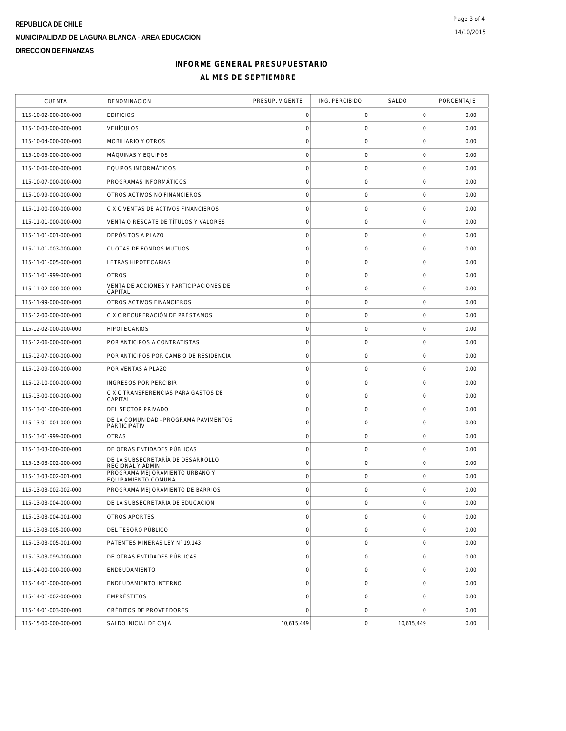# **INFORME GENERAL PRESUPUESTARIO AL MES DE SEPTIEMBRE**

| <b>CUENTA</b>         | DENOMINACION                                          | PRESUP. VIGENTE     | ING. PERCIBIDO      | SALDO               | PORCENTAJE |
|-----------------------|-------------------------------------------------------|---------------------|---------------------|---------------------|------------|
| 115-10-02-000-000-000 | <b>EDIFICIOS</b>                                      | 0                   | 0                   | 0                   | 0.00       |
| 115-10-03-000-000-000 | <b>VEHÍCULOS</b>                                      | $\mathbf 0$         | $\mathsf O$         | $\mathbf 0$         | 0.00       |
| 115-10-04-000-000-000 | MOBILIARIO Y OTROS                                    | $\mathbf 0$         | $\mathsf{O}\xspace$ | $\mathbf 0$         | 0.00       |
| 115-10-05-000-000-000 | MÁQUINAS Y EQUIPOS                                    | $\mathsf{O}\xspace$ | $\mathsf O$         | 0                   | 0.00       |
| 115-10-06-000-000-000 | EQUIPOS INFORMÁTICOS                                  | $\mathbf 0$         | $\mathsf O$         | $\mathsf{O}\xspace$ | 0.00       |
| 115-10-07-000-000-000 | PROGRAMAS INFORMÁTICOS                                | $\mathbf 0$         | $\mathsf O$         | $\mathbf 0$         | 0.00       |
| 115-10-99-000-000-000 | OTROS ACTIVOS NO FINANCIEROS                          | $\mathsf{O}\xspace$ | $\mathsf{O}\xspace$ | $\mathbf 0$         | 0.00       |
| 115-11-00-000-000-000 | C X C VENTAS DE ACTIVOS FINANCIEROS                   | $\mathbf 0$         | $\mathsf{O}\xspace$ | $\mathbf 0$         | 0.00       |
| 115-11-01-000-000-000 | VENTA O RESCATE DE TÍTULOS Y VALORES                  | $\mathbf 0$         | $\mathsf{O}\xspace$ | $\mathbf 0$         | 0.00       |
| 115-11-01-001-000-000 | DEPÓSITOS A PLAZO                                     | $\mathbf 0$         | $\mathsf O$         | $\mathsf{O}\xspace$ | 0.00       |
| 115-11-01-003-000-000 | CUOTAS DE FONDOS MUTUOS                               | $\circ$             | 0                   | 0                   | 0.00       |
| 115-11-01-005-000-000 | LETRAS HIPOTECARIAS                                   | $\circ$             | $\mathsf{O}\xspace$ | $\mathsf{O}\xspace$ | 0.00       |
| 115-11-01-999-000-000 | <b>OTROS</b>                                          | $\mathsf{O}\xspace$ | 0                   | $\mathsf{O}\xspace$ | 0.00       |
| 115-11-02-000-000-000 | VENTA DE ACCIONES Y PARTICIPACIONES DE<br>CAPITAL     | $\mathbf 0$         | $\mathsf O$         | $\mathbf 0$         | 0.00       |
| 115-11-99-000-000-000 | OTROS ACTIVOS FINANCIEROS                             | $\circ$             | $\mathsf{O}\xspace$ | $\mathbf 0$         | 0.00       |
| 115-12-00-000-000-000 | C X C RECUPERACIÓN DE PRÉSTAMOS                       | $\mathsf{O}\xspace$ | $\mathsf O$         | 0                   | 0.00       |
| 115-12-02-000-000-000 | <b>HIPOTECARIOS</b>                                   | $\mathbf 0$         | $\mathsf{O}\xspace$ | $\mathbf 0$         | 0.00       |
| 115-12-06-000-000-000 | POR ANTICIPOS A CONTRATISTAS                          | $\circ$             | $\mathsf{O}\xspace$ | $\mathsf{O}\xspace$ | 0.00       |
| 115-12-07-000-000-000 | POR ANTICIPOS POR CAMBIO DE RESIDENCIA                | $\mathsf{O}\xspace$ | $\mathsf{O}\xspace$ | $\mathsf{O}\xspace$ | 0.00       |
| 115-12-09-000-000-000 | POR VENTAS A PLAZO                                    | $\circ$             | $\mathsf{O}\xspace$ | $\mathbf 0$         | 0.00       |
| 115-12-10-000-000-000 | INGRESOS POR PERCIBIR                                 | $\mathbf 0$         | $\mathsf O$         | $\mathbf 0$         | 0.00       |
| 115-13-00-000-000-000 | C X C TRANSFERENCIAS PARA GASTOS DE<br>CAPITAL        | $\mathbf 0$         | $\mathsf O$         | $\mathsf{O}\xspace$ | 0.00       |
| 115-13-01-000-000-000 | DEL SECTOR PRIVADO                                    | $\circ$             | $\mathsf O$         | 0                   | 0.00       |
| 115-13-01-001-000-000 | DE LA COMUNIDAD - PROGRAMA PAVIMENTOS<br>PARTICIPATIV | $\circ$             | $\mathsf{O}\xspace$ | $\mathbf 0$         | 0.00       |
| 115-13-01-999-000-000 | <b>OTRAS</b>                                          | $\mathbf 0$         | $\mathsf{O}\xspace$ | $\mathsf{O}\xspace$ | 0.00       |
| 115-13-03-000-000-000 | DE OTRAS ENTIDADES PÚBLICAS                           | $\mathbf 0$         | $\mathsf O$         | $\mathbf 0$         | 0.00       |
| 115-13-03-002-000-000 | DE LA SUBSECRETARÍA DE DESARROLLO<br>REGIONAL Y ADMIN | $\mathbf 0$         | $\mathsf O$         | $\mathbf 0$         | 0.00       |
| 115-13-03-002-001-000 | PROGRAMA MEJORAMIENTO URBANO Y<br>EQUIPAMIENTO COMUNA | $\mathsf{O}\xspace$ | $\mathsf O$         | 0                   | 0.00       |
| 115-13-03-002-002-000 | PROGRAMA MEJORAMIENTO DE BARRIOS                      | $\circ$             | $\mathsf{O}\xspace$ | 0                   | 0.00       |
| 115-13-03-004-000-000 | DE LA SUBSECRETARÍA DE EDUCACIÓN                      | $\mathbf 0$         | $\mathbf 0$         | $\mathbf 0$         | 0.00       |
| 115-13-03-004-001-000 | OTROS APORTES                                         | $\mathsf{O}\xspace$ | $\boldsymbol{0}$    | $\mathsf{O}\xspace$ | 0.00       |
| 115-13-03-005-000-000 | DEL TESORO PÚBLICO                                    | $\circ$             | $\mathbf 0$         | $\mathbf 0$         | 0.00       |
| 115-13-03-005-001-000 | PATENTES MINERAS LEY N° 19.143                        | $\mathbf 0$         | $\mathsf O$         | $\mathbf 0$         | 0.00       |
| 115-13-03-099-000-000 | DE OTRAS ENTIDADES PÚBLICAS                           | $\mathsf{O}\xspace$ | $\mathsf O$         | $\mathsf 0$         | 0.00       |
| 115-14-00-000-000-000 | ENDEUDAMIENTO                                         | $\mathsf{O}\xspace$ | 0                   | $\mathsf 0$         | 0.00       |
| 115-14-01-000-000-000 | ENDEUDAMIENTO INTERNO                                 | $\mathbf 0$         | $\mathsf{O}\xspace$ | $\mathsf 0$         | 0.00       |
| 115-14-01-002-000-000 | EMPRÉSTITOS                                           | $\mathbf 0$         | $\mathsf O$         | $\mathbf 0$         | 0.00       |
| 115-14-01-003-000-000 | CRÉDITOS DE PROVEEDORES                               | $\mathbf 0$         | $\mathsf O$         | $\mathbf 0$         | 0.00       |
| 115-15-00-000-000-000 | SALDO INICIAL DE CAJA                                 | 10,615,449          | $\mathsf{O}\xspace$ | 10,615,449          | 0.00       |